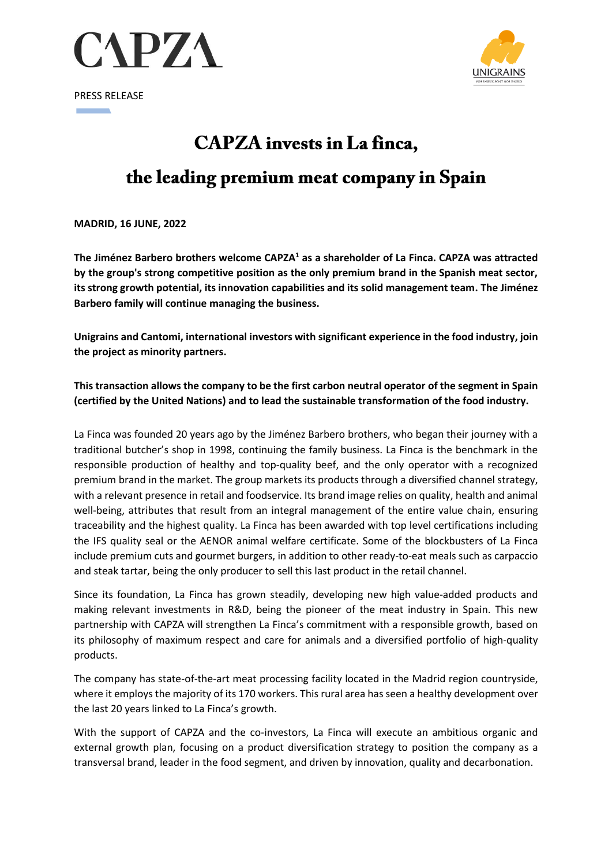

PRESS RELEASE



# **CAPZA** invests in La finca,

## the leading premium meat company in Spain

**MADRID, 16 JUNE, 2022**

**The Jiménez Barbero brothers welcome CAPZA<sup>1</sup> as a shareholder of La Finca. CAPZA was attracted by the group's strong competitive position as the only premium brand in the Spanish meat sector, its strong growth potential, its innovation capabilities and its solid management team. The Jiménez Barbero family will continue managing the business.** 

**Unigrains and Cantomi, international investors with significant experience in the food industry, join the project as minority partners.**

**This transaction allows the company to be the first carbon neutral operator of the segment in Spain (certified by the United Nations) and to lead the sustainable transformation of the food industry.**

La Finca was founded 20 years ago by the Jiménez Barbero brothers, who began their journey with a traditional butcher's shop in 1998, continuing the family business. La Finca is the benchmark in the responsible production of healthy and top-quality beef, and the only operator with a recognized premium brand in the market. The group markets its products through a diversified channel strategy, with a relevant presence in retail and foodservice. Its brand image relies on quality, health and animal well-being, attributes that result from an integral management of the entire value chain, ensuring traceability and the highest quality. La Finca has been awarded with top level certifications including the IFS quality seal or the AENOR animal welfare certificate. Some of the blockbusters of La Finca include premium cuts and gourmet burgers, in addition to other ready-to-eat meals such as carpaccio and steak tartar, being the only producer to sell this last product in the retail channel.

Since its foundation, La Finca has grown steadily, developing new high value-added products and making relevant investments in R&D, being the pioneer of the meat industry in Spain. This new partnership with CAPZA will strengthen La Finca's commitment with a responsible growth, based on its philosophy of maximum respect and care for animals and a diversified portfolio of high-quality products.

The company has state-of-the-art meat processing facility located in the Madrid region countryside, where it employs the majority of its 170 workers. This rural area has seen a healthy development over the last 20 years linked to La Finca's growth.

With the support of CAPZA and the co-investors, La Finca will execute an ambitious organic and external growth plan, focusing on a product diversification strategy to position the company as a transversal brand, leader in the food segment, and driven by innovation, quality and decarbonation.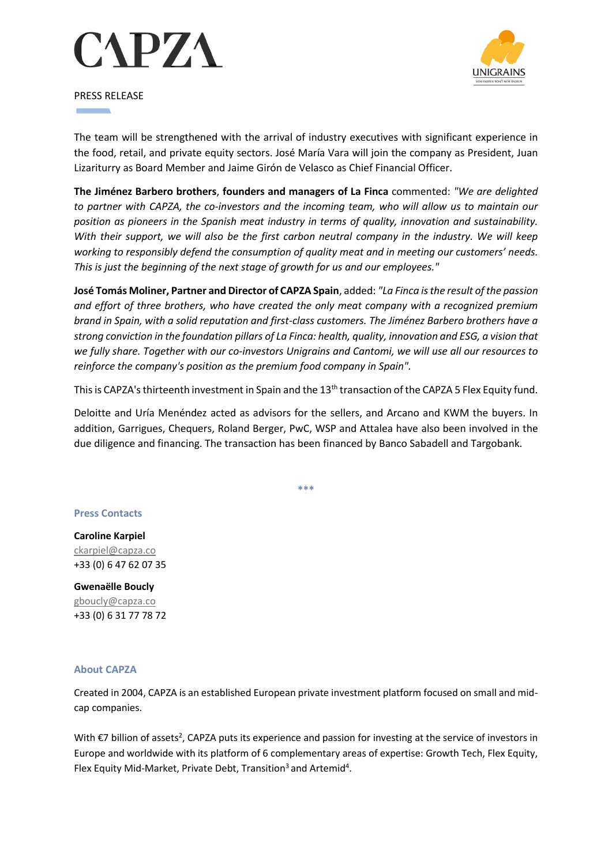



PRESS RELEASE

The team will be strengthened with the arrival of industry executives with significant experience in the food, retail, and private equity sectors. José María Vara will join the company as President, Juan Lizariturry as Board Member and Jaime Girón de Velasco as Chief Financial Officer.

**The Jiménez Barbero brothers**, **founders and managers of La Finca** commented: *"We are delighted to partner with CAPZA, the co-investors and the incoming team, who will allow us to maintain our position as pioneers in the Spanish meat industry in terms of quality, innovation and sustainability. With their support, we will also be the first carbon neutral company in the industry. We will keep working to responsibly defend the consumption of quality meat and in meeting our customers' needs. This is just the beginning of the next stage of growth for us and our employees."*

**José Tomás Moliner, Partner and Director of CAPZA Spain**, added: *"La Finca is the result of the passion and effort of three brothers, who have created the only meat company with a recognized premium brand in Spain, with a solid reputation and first-class customers. The Jiménez Barbero brothers have a strong conviction in the foundation pillars of La Finca: health, quality, innovation and ESG, a vision that we fully share. Together with our co-investors Unigrains and Cantomi, we will use all our resources to reinforce the company's position as the premium food company in Spain".*

This is CAPZA's thirteenth investment in Spain and the 13<sup>th</sup> transaction of the CAPZA 5 Flex Equity fund.

Deloitte and Uría Menéndez acted as advisors for the sellers, and Arcano and KWM the buyers. In addition, Garrigues, Chequers, Roland Berger, PwC, WSP and Attalea have also been involved in the due diligence and financing. The transaction has been financed by Banco Sabadell and Targobank.

**\*\*\***

### **Press Contacts**

**Caroline Karpiel** ckarpiel@capza.co +33 (0) 6 47 62 07 35

**Gwenaëlle Boucly** gboucly@capza.co +33 (0) 6 31 77 78 72

### **About CAPZA**

Created in 2004, CAPZA is an established European private investment platform focused on small and midcap companies.

With  $\epsilon$ 7 billion of assets<sup>2</sup>, CAPZA puts its experience and passion for investing at the service of investors in Europe and worldwide with its platform of 6 complementary areas of expertise: Growth Tech, Flex Equity, Flex Equity Mid-Market, Private Debt, Transition<sup>3</sup> and Artemid<sup>4</sup>.